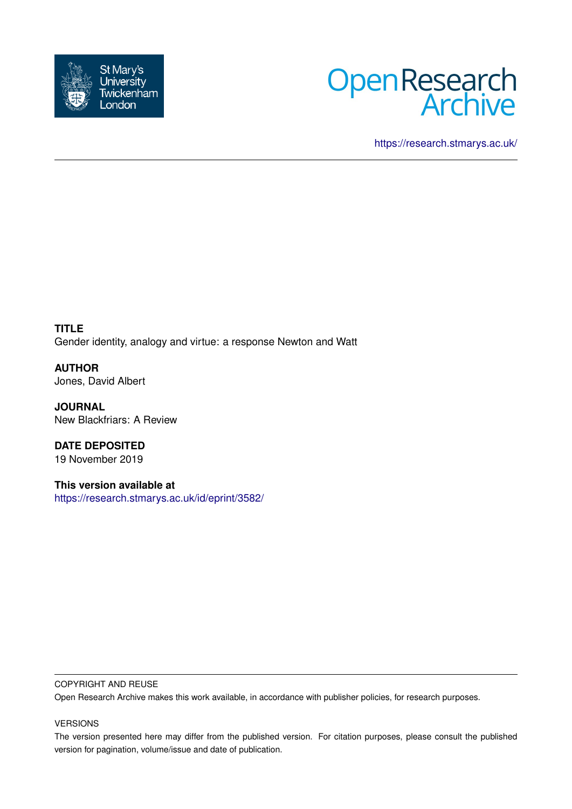



<https://research.stmarys.ac.uk/>

**TITLE** Gender identity, analogy and virtue: a response Newton and Watt

**AUTHOR** Jones, David Albert

**JOURNAL** New Blackfriars: A Review

**DATE DEPOSITED** 19 November 2019

**This version available at** <https://research.stmarys.ac.uk/id/eprint/3582/>

# COPYRIGHT AND REUSE

Open Research Archive makes this work available, in accordance with publisher policies, for research purposes.

# VERSIONS

The version presented here may differ from the published version. For citation purposes, please consult the published version for pagination, volume/issue and date of publication.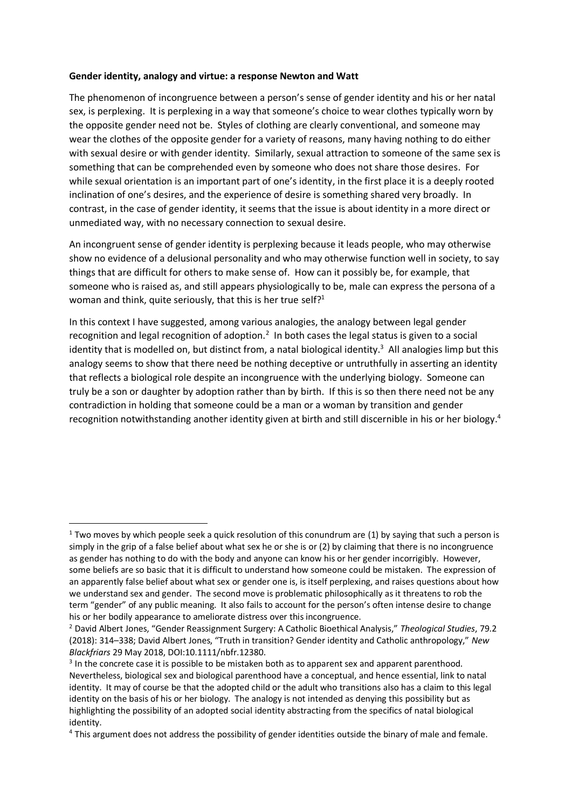#### **Gender identity, analogy and virtue: a response Newton and Watt**

The phenomenon of incongruence between a person's sense of gender identity and his or her natal sex, is perplexing. It is perplexing in a way that someone's choice to wear clothes typically worn by the opposite gender need not be. Styles of clothing are clearly conventional, and someone may wear the clothes of the opposite gender for a variety of reasons, many having nothing to do either with sexual desire or with gender identity. Similarly, sexual attraction to someone of the same sex is something that can be comprehended even by someone who does not share those desires. For while sexual orientation is an important part of one's identity, in the first place it is a deeply rooted inclination of one's desires, and the experience of desire is something shared very broadly. In contrast, in the case of gender identity, it seems that the issue is about identity in a more direct or unmediated way, with no necessary connection to sexual desire.

An incongruent sense of gender identity is perplexing because it leads people, who may otherwise show no evidence of a delusional personality and who may otherwise function well in society, to say things that are difficult for others to make sense of. How can it possibly be, for example, that someone who is raised as, and still appears physiologically to be, male can express the persona of a woman and think, quite seriously, that this is her true self?<sup>1</sup>

In this context I have suggested, among various analogies, the analogy between legal gender recognition and legal recognition of adoption.<sup>2</sup> In both cases the legal status is given to a social identity that is modelled on, but distinct from, a natal biological identity.<sup>3</sup> All analogies limp but this analogy seems to show that there need be nothing deceptive or untruthfully in asserting an identity that reflects a biological role despite an incongruence with the underlying biology. Someone can truly be a son or daughter by adoption rather than by birth. If this is so then there need not be any contradiction in holding that someone could be a man or a woman by transition and gender recognition notwithstanding another identity given at birth and still discernible in his or her biology. 4

 $1$  Two moves by which people seek a quick resolution of this conundrum are (1) by saying that such a person is simply in the grip of a false belief about what sex he or she is or (2) by claiming that there is no incongruence as gender has nothing to do with the body and anyone can know his or her gender incorrigibly. However, some beliefs are so basic that it is difficult to understand how someone could be mistaken. The expression of an apparently false belief about what sex or gender one is, is itself perplexing, and raises questions about how we understand sex and gender. The second move is problematic philosophically as it threatens to rob the term "gender" of any public meaning. It also fails to account for the person's often intense desire to change his or her bodily appearance to ameliorate distress over this incongruence.

<sup>2</sup> David Albert Jones, "Gender Reassignment Surgery: A Catholic Bioethical Analysis," *Theological Studies*, 79.2 (2018): 314–338; David Albert Jones, "Truth in transition? Gender identity and Catholic anthropology," *New Blackfriars* 29 May 2018, DOI:10.1111/nbfr.12380.

<sup>&</sup>lt;sup>3</sup> In the concrete case it is possible to be mistaken both as to apparent sex and apparent parenthood. Nevertheless, biological sex and biological parenthood have a conceptual, and hence essential, link to natal identity. It may of course be that the adopted child or the adult who transitions also has a claim to this legal identity on the basis of his or her biology. The analogy is not intended as denying this possibility but as highlighting the possibility of an adopted social identity abstracting from the specifics of natal biological identity.

<sup>4</sup> This argument does not address the possibility of gender identities outside the binary of male and female.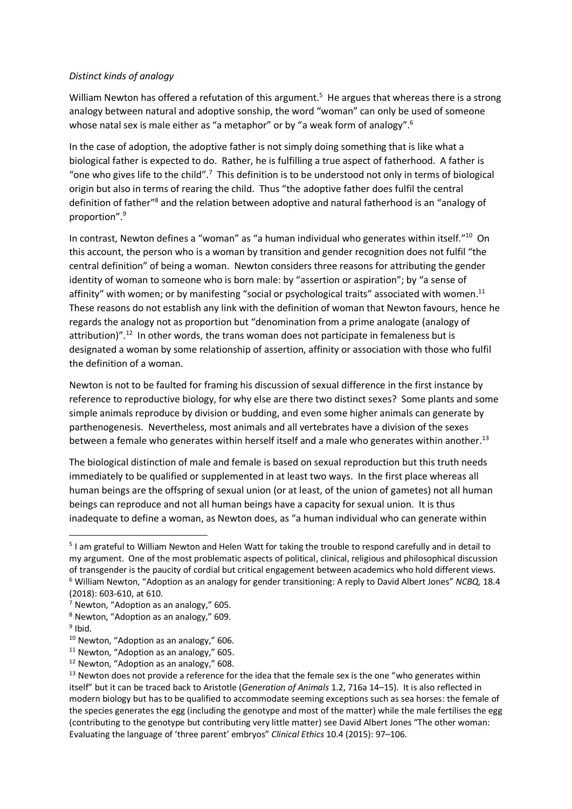# *Distinct kinds of analogy*

William Newton has offered a refutation of this argument.<sup>5</sup> He argues that whereas there is a strong analogy between natural and adoptive sonship, the word "woman" can only be used of someone whose natal sex is male either as "a metaphor" or by "a weak form of analogy".<sup>6</sup>

In the case of adoption, the adoptive father is not simply doing something that is like what a biological father is expected to do. Rather, he is fulfilling a true aspect of fatherhood. A father is "one who gives life to the child".<sup>7</sup> This definition is to be understood not only in terms of biological origin but also in terms of rearing the child. Thus "the adoptive father does fulfil the central definition of father"<sup>8</sup> and the relation between adoptive and natural fatherhood is an "analogy of proportion". 9

In contrast, Newton defines a "woman" as "a human individual who generates within itself."<sup>10</sup> On this account, the person who is a woman by transition and gender recognition does not fulfil "the central definition" of being a woman. Newton considers three reasons for attributing the gender identity of woman to someone who is born male: by "assertion or aspiration"; by "a sense of affinity" with women; or by manifesting "social or psychological traits" associated with women.<sup>11</sup> These reasons do not establish any link with the definition of woman that Newton favours, hence he regards the analogy not as proportion but "denomination from a prime analogate (analogy of attribution)".<sup>12</sup> In other words, the trans woman does not participate in femaleness but is designated a woman by some relationship of assertion, affinity or association with those who fulfil the definition of a woman.

Newton is not to be faulted for framing his discussion of sexual difference in the first instance by reference to reproductive biology, for why else are there two distinct sexes? Some plants and some simple animals reproduce by division or budding, and even some higher animals can generate by parthenogenesis. Nevertheless, most animals and all vertebrates have a division of the sexes between a female who generates within herself itself and a male who generates within another.<sup>13</sup>

The biological distinction of male and female is based on sexual reproduction but this truth needs immediately to be qualified or supplemented in at least two ways. In the first place whereas all human beings are the offspring of sexual union (or at least, of the union of gametes) not all human beings can reproduce and not all human beings have a capacity for sexual union. It is thus inadequate to define a woman, as Newton does, as "a human individual who can generate within

<sup>&</sup>lt;sup>5</sup> I am grateful to William Newton and Helen Watt for taking the trouble to respond carefully and in detail to my argument. One of the most problematic aspects of political, clinical, religious and philosophical discussion of transgender is the paucity of cordial but critical engagement between academics who hold different views. <sup>6</sup> William Newton, "Adoption as an analogy for gender transitioning: A reply to David Albert Jones" *NCBQ,* 18.4 (2018): 603-610, at 610.

 $<sup>7</sup>$  Newton, "Adoption as an analogy," 605.</sup>

<sup>8</sup> Newton, "Adoption as an analogy," 609.

<sup>&</sup>lt;sup>9</sup> Ibid.

 $10$  Newton, "Adoption as an analogy," 606.

<sup>&</sup>lt;sup>11</sup> Newton, "Adoption as an analogy," 605.

<sup>&</sup>lt;sup>12</sup> Newton, "Adoption as an analogy," 608.

 $13$  Newton does not provide a reference for the idea that the female sex is the one "who generates within itself" but it can be traced back to Aristotle (*Generation of Animals* 1.2, 716a 14–15). It is also reflected in modern biology but has to be qualified to accommodate seeming exceptions such as sea horses: the female of the species generates the egg (including the genotype and most of the matter) while the male fertilises the egg (contributing to the genotype but contributing very little matter) see David Albert Jones "The other woman: Evaluating the language of 'three parent' embryos" *Clinical Ethics* 10.4 (2015): 97–106.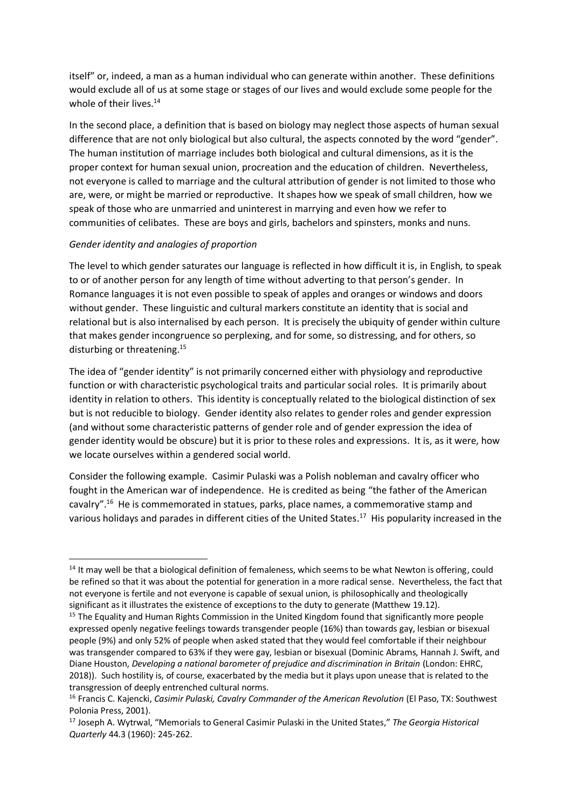itself" or, indeed, a man as a human individual who can generate within another. These definitions would exclude all of us at some stage or stages of our lives and would exclude some people for the whole of their lives.<sup>14</sup>

In the second place, a definition that is based on biology may neglect those aspects of human sexual difference that are not only biological but also cultural, the aspects connoted by the word "gender". The human institution of marriage includes both biological and cultural dimensions, as it is the proper context for human sexual union, procreation and the education of children. Nevertheless, not everyone is called to marriage and the cultural attribution of gender is not limited to those who are, were, or might be married or reproductive. It shapes how we speak of small children, how we speak of those who are unmarried and uninterest in marrying and even how we refer to communities of celibates. These are boys and girls, bachelors and spinsters, monks and nuns.

# *Gender identity and analogies of proportion*

The level to which gender saturates our language is reflected in how difficult it is, in English, to speak to or of another person for any length of time without adverting to that person's gender. In Romance languages it is not even possible to speak of apples and oranges or windows and doors without gender. These linguistic and cultural markers constitute an identity that is social and relational but is also internalised by each person. It is precisely the ubiquity of gender within culture that makes gender incongruence so perplexing, and for some, so distressing, and for others, so disturbing or threatening.<sup>15</sup>

The idea of "gender identity" is not primarily concerned either with physiology and reproductive function or with characteristic psychological traits and particular social roles. It is primarily about identity in relation to others. This identity is conceptually related to the biological distinction of sex but is not reducible to biology. Gender identity also relates to gender roles and gender expression (and without some characteristic patterns of gender role and of gender expression the idea of gender identity would be obscure) but it is prior to these roles and expressions. It is, as it were, how we locate ourselves within a gendered social world.

Consider the following example. Casimir Pulaski was a Polish nobleman and cavalry officer who fought in the American war of independence. He is credited as being "the father of the American cavalry".<sup>16</sup> He is commemorated in statues, parks, place names, a commemorative stamp and various holidays and parades in different cities of the United States.<sup>17</sup> His popularity increased in the

<sup>&</sup>lt;sup>14</sup> It may well be that a biological definition of femaleness, which seems to be what Newton is offering, could be refined so that it was about the potential for generation in a more radical sense. Nevertheless, the fact that not everyone is fertile and not everyone is capable of sexual union, is philosophically and theologically significant as it illustrates the existence of exceptions to the duty to generate (Matthew 19.12).

<sup>&</sup>lt;sup>15</sup> The Equality and Human Rights Commission in the United Kingdom found that significantly more people expressed openly negative feelings towards transgender people (16%) than towards gay, lesbian or bisexual people (9%) and only 52% of people when asked stated that they would feel comfortable if their neighbour was transgender compared to 63% if they were gay, lesbian or bisexual (Dominic Abrams, Hannah J. Swift, and Diane Houston, *Developing a national barometer of prejudice and discrimination in Britain* (London: EHRC, 2018)). Such hostility is, of course, exacerbated by the media but it plays upon unease that is related to the transgression of deeply entrenched cultural norms.

<sup>16</sup> Francis C. Kajencki, *Casimir Pulaski, Cavalry Commander of the American Revolution* (El Paso, TX: Southwest Polonia Press, 2001).

<sup>17</sup> Joseph A. Wytrwal, "Memorials to General Casimir Pulaski in the United States," *The Georgia Historical Quarterly* 44.3 (1960): 245-262.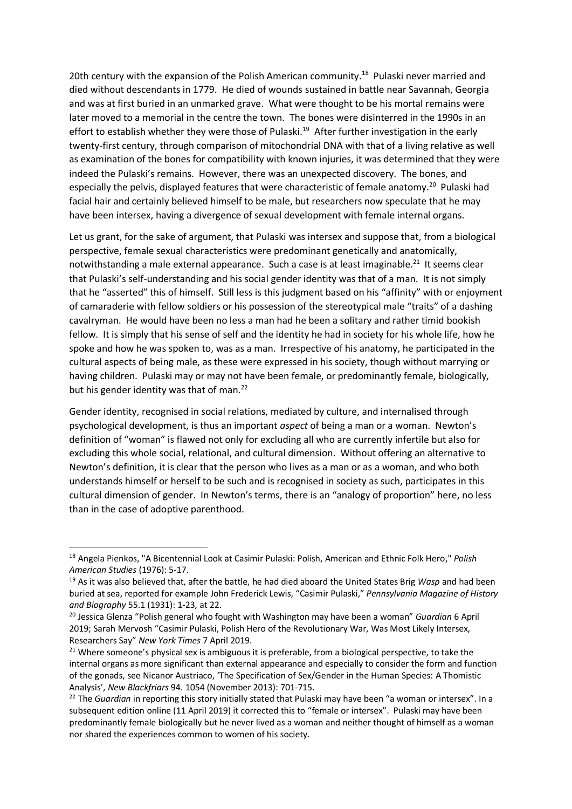20th century with the expansion of the Polish American community.<sup>18</sup> Pulaski never married and died without descendants in 1779. He died of wounds sustained in battle near Savannah, Georgia and was at first buried in an unmarked grave. What were thought to be his mortal remains were later moved to a memorial in the centre the town. The bones were disinterred in the 1990s in an effort to establish whether they were those of Pulaski.<sup>19</sup> After further investigation in the early twenty-first century, through comparison of mitochondrial DNA with that of a living relative as well as examination of the bones for compatibility with known injuries, it was determined that they were indeed the Pulaski's remains. However, there was an unexpected discovery. The bones, and especially the pelvis, displayed features that were characteristic of female anatomy.<sup>20</sup> Pulaski had facial hair and certainly believed himself to be male, but researchers now speculate that he may have been intersex, having a divergence of sexual development with female internal organs.

Let us grant, for the sake of argument, that Pulaski was intersex and suppose that, from a biological perspective, female sexual characteristics were predominant genetically and anatomically, notwithstanding a male external appearance. Such a case is at least imaginable.<sup>21</sup> It seems clear that Pulaski's self-understanding and his social gender identity was that of a man. It is not simply that he "asserted" this of himself. Still less is this judgment based on his "affinity" with or enjoyment of camaraderie with fellow soldiers or his possession of the stereotypical male "traits" of a dashing cavalryman. He would have been no less a man had he been a solitary and rather timid bookish fellow. It is simply that his sense of self and the identity he had in society for his whole life, how he spoke and how he was spoken to, was as a man. Irrespective of his anatomy, he participated in the cultural aspects of being male, as these were expressed in his society, though without marrying or having children. Pulaski may or may not have been female, or predominantly female, biologically, but his gender identity was that of man.<sup>22</sup>

Gender identity, recognised in social relations, mediated by culture, and internalised through psychological development, is thus an important *aspect* of being a man or a woman. Newton's definition of "woman" is flawed not only for excluding all who are currently infertile but also for excluding this whole social, relational, and cultural dimension. Without offering an alternative to Newton's definition, it is clear that the person who lives as a man or as a woman, and who both understands himself or herself to be such and is recognised in society as such, participates in this cultural dimension of gender. In Newton's terms, there is an "analogy of proportion" here, no less than in the case of adoptive parenthood.

<sup>18</sup> Angela Pienkos, "A Bicentennial Look at Casimir Pulaski: Polish, American and Ethnic Folk Hero," *Polish American Studies* (1976): 5-17.

<sup>19</sup> As it was also believed that, after the battle, he had died aboard the United States Brig *Wasp* and had been buried at sea, reported for example John Frederick Lewis, "Casimir Pulaski," *Pennsylvania Magazine of History and Biography* 55.1 (1931): 1-23, at 22.

<sup>20</sup> Jessica Glenza "Polish general who fought with Washington may have been a woman" *Guardian* 6 April 2019; Sarah Mervosh "Casimir Pulaski, Polish Hero of the Revolutionary War, Was Most Likely Intersex, Researchers Say" *New York Times* 7 April 2019.

 $21$  Where someone's physical sex is ambiguous it is preferable, from a biological perspective, to take the internal organs as more significant than external appearance and especially to consider the form and function of the gonads, see Nicanor Austriaco, 'The Specification of Sex/Gender in the Human Species: A Thomistic Analysis', *New Blackfriars* 94. 1054 (November 2013): 701-715.

<sup>&</sup>lt;sup>22</sup> The *Guardian* in reporting this story initially stated that Pulaski may have been "a woman or intersex". In a subsequent edition online (11 April 2019) it corrected this to "female or intersex". Pulaski may have been predominantly female biologically but he never lived as a woman and neither thought of himself as a woman nor shared the experiences common to women of his society.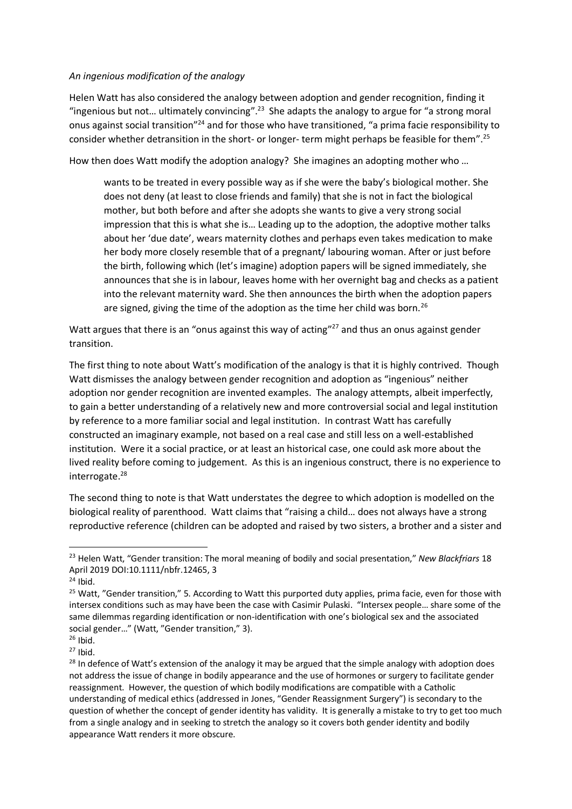# *An ingenious modification of the analogy*

Helen Watt has also considered the analogy between adoption and gender recognition, finding it "ingenious but not... ultimately convincing".<sup>23</sup> She adapts the analogy to argue for "a strong moral onus against social transition"<sup>24</sup> and for those who have transitioned, "a prima facie responsibility to consider whether detransition in the short- or longer- term might perhaps be feasible for them". 25

How then does Watt modify the adoption analogy? She imagines an adopting mother who …

wants to be treated in every possible way as if she were the baby's biological mother. She does not deny (at least to close friends and family) that she is not in fact the biological mother, but both before and after she adopts she wants to give a very strong social impression that this is what she is… Leading up to the adoption, the adoptive mother talks about her 'due date', wears maternity clothes and perhaps even takes medication to make her body more closely resemble that of a pregnant/ labouring woman. After or just before the birth, following which (let's imagine) adoption papers will be signed immediately, she announces that she is in labour, leaves home with her overnight bag and checks as a patient into the relevant maternity ward. She then announces the birth when the adoption papers are signed, giving the time of the adoption as the time her child was born.<sup>26</sup>

Watt argues that there is an "onus against this way of acting"<sup>27</sup> and thus an onus against gender transition.

The first thing to note about Watt's modification of the analogy is that it is highly contrived. Though Watt dismisses the analogy between gender recognition and adoption as "ingenious" neither adoption nor gender recognition are invented examples. The analogy attempts, albeit imperfectly, to gain a better understanding of a relatively new and more controversial social and legal institution by reference to a more familiar social and legal institution. In contrast Watt has carefully constructed an imaginary example, not based on a real case and still less on a well-established institution. Were it a social practice, or at least an historical case, one could ask more about the lived reality before coming to judgement. As this is an ingenious construct, there is no experience to interrogate. 28

The second thing to note is that Watt understates the degree to which adoption is modelled on the biological reality of parenthood. Watt claims that "raising a child… does not always have a strong reproductive reference (children can be adopted and raised by two sisters, a brother and a sister and

<sup>23</sup> Helen Watt, "Gender transition: The moral meaning of bodily and social presentation," *New Blackfriars* 18 April 2019 DOI:10.1111/nbfr.12465, 3

<sup>24</sup> Ibid.

<sup>&</sup>lt;sup>25</sup> Watt, "Gender transition," 5. According to Watt this purported duty applies, prima facie, even for those with intersex conditions such as may have been the case with Casimir Pulaski. "Intersex people… share some of the same dilemmas regarding identification or non-identification with one's biological sex and the associated social gender…" (Watt, "Gender transition," 3).

 $26$  Ibid.

 $27$  Ibid.

<sup>&</sup>lt;sup>28</sup> In defence of Watt's extension of the analogy it may be argued that the simple analogy with adoption does not address the issue of change in bodily appearance and the use of hormones or surgery to facilitate gender reassignment. However, the question of which bodily modifications are compatible with a Catholic understanding of medical ethics (addressed in Jones, "Gender Reassignment Surgery") is secondary to the question of whether the concept of gender identity has validity. It is generally a mistake to try to get too much from a single analogy and in seeking to stretch the analogy so it covers both gender identity and bodily appearance Watt renders it more obscure.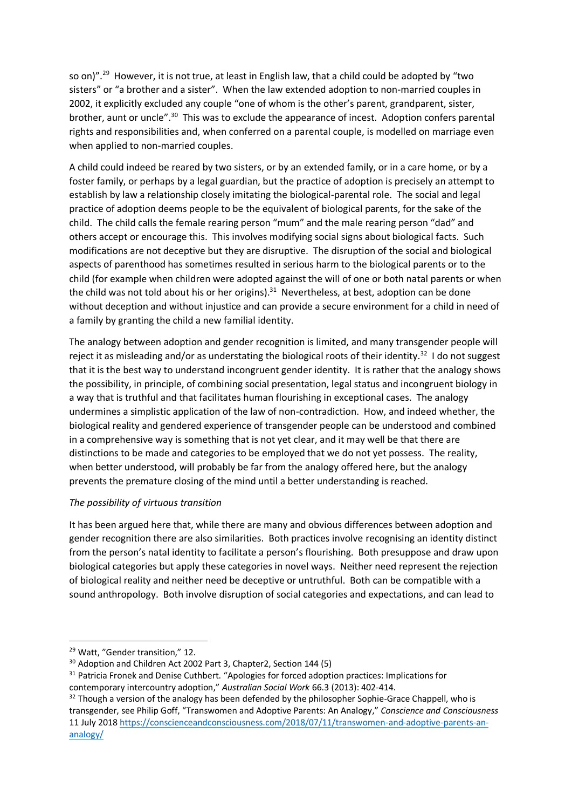so on)".<sup>29</sup> However, it is not true, at least in English law, that a child could be adopted by "two sisters" or "a brother and a sister". When the law extended adoption to non-married couples in 2002, it explicitly excluded any couple "one of whom is the other's parent, grandparent, sister, brother, aunt or uncle".<sup>30</sup> This was to exclude the appearance of incest. Adoption confers parental rights and responsibilities and, when conferred on a parental couple, is modelled on marriage even when applied to non-married couples.

A child could indeed be reared by two sisters, or by an extended family, or in a care home, or by a foster family, or perhaps by a legal guardian, but the practice of adoption is precisely an attempt to establish by law a relationship closely imitating the biological-parental role. The social and legal practice of adoption deems people to be the equivalent of biological parents, for the sake of the child. The child calls the female rearing person "mum" and the male rearing person "dad" and others accept or encourage this. This involves modifying social signs about biological facts. Such modifications are not deceptive but they are disruptive. The disruption of the social and biological aspects of parenthood has sometimes resulted in serious harm to the biological parents or to the child (for example when children were adopted against the will of one or both natal parents or when the child was not told about his or her origins).<sup>31</sup> Nevertheless, at best, adoption can be done without deception and without injustice and can provide a secure environment for a child in need of a family by granting the child a new familial identity.

The analogy between adoption and gender recognition is limited, and many transgender people will reject it as misleading and/or as understating the biological roots of their identity.<sup>32</sup> I do not suggest that it is the best way to understand incongruent gender identity. It is rather that the analogy shows the possibility, in principle, of combining social presentation, legal status and incongruent biology in a way that is truthful and that facilitates human flourishing in exceptional cases. The analogy undermines a simplistic application of the law of non-contradiction. How, and indeed whether, the biological reality and gendered experience of transgender people can be understood and combined in a comprehensive way is something that is not yet clear, and it may well be that there are distinctions to be made and categories to be employed that we do not yet possess. The reality, when better understood, will probably be far from the analogy offered here, but the analogy prevents the premature closing of the mind until a better understanding is reached.

# *The possibility of virtuous transition*

It has been argued here that, while there are many and obvious differences between adoption and gender recognition there are also similarities. Both practices involve recognising an identity distinct from the person's natal identity to facilitate a person's flourishing. Both presuppose and draw upon biological categories but apply these categories in novel ways. Neither need represent the rejection of biological reality and neither need be deceptive or untruthful. Both can be compatible with a sound anthropology. Both involve disruption of social categories and expectations, and can lead to

<sup>29</sup> Watt, "Gender transition," 12.

<sup>30</sup> Adoption and Children Act 2002 Part 3, Chapter2, Section 144 (5)

<sup>&</sup>lt;sup>31</sup> Patricia Fronek and Denise Cuthbert. "Apologies for forced adoption practices: Implications for contemporary intercountry adoption," *Australian Social Work* 66.3 (2013): 402-414.

<sup>&</sup>lt;sup>32</sup> Though a version of the analogy has been defended by the philosopher Sophie-Grace Chappell, who is transgender, see Philip Goff, "Transwomen and Adoptive Parents: An Analogy," *Conscience and Consciousness* 11 July 201[8 https://conscienceandconsciousness.com/2018/07/11/transwomen-and-adoptive-parents-an](https://conscienceandconsciousness.com/2018/07/11/transwomen-and-adoptive-parents-an-analogy/)[analogy/](https://conscienceandconsciousness.com/2018/07/11/transwomen-and-adoptive-parents-an-analogy/)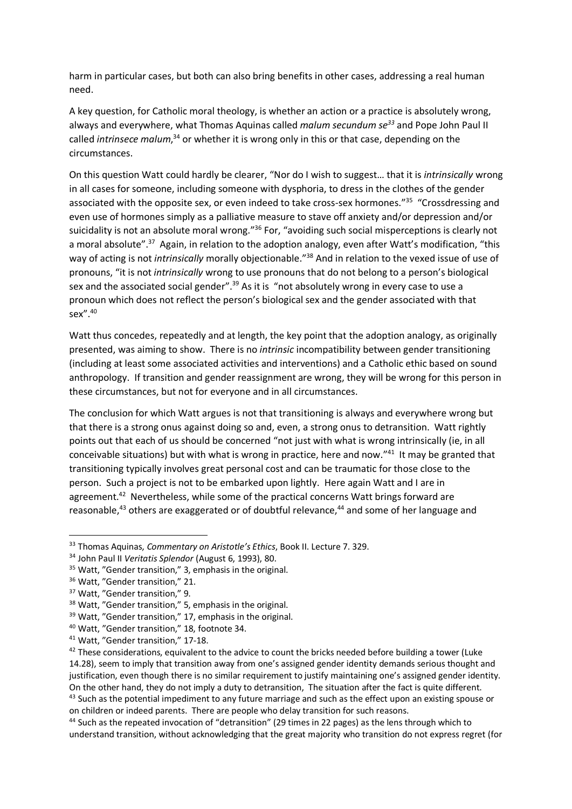harm in particular cases, but both can also bring benefits in other cases, addressing a real human need.

A key question, for Catholic moral theology, is whether an action or a practice is absolutely wrong, always and everywhere, what Thomas Aquinas called *malum secundum se<sup>33</sup>* and Pope John Paul II called *intrinsece malum*,<sup>34</sup> or whether it is wrong only in this or that case, depending on the circumstances.

On this question Watt could hardly be clearer, "Nor do I wish to suggest… that it is *intrinsically* wrong in all cases for someone, including someone with dysphoria, to dress in the clothes of the gender associated with the opposite sex, or even indeed to take cross-sex hormones."<sup>35</sup> "Crossdressing and even use of hormones simply as a palliative measure to stave off anxiety and/or depression and/or suicidality is not an absolute moral wrong."<sup>36</sup> For, "avoiding such social misperceptions is clearly not a moral absolute".<sup>37</sup> Again, in relation to the adoption analogy, even after Watt's modification, "this way of acting is not *intrinsically* morally objectionable."<sup>38</sup> And in relation to the vexed issue of use of pronouns, "it is not *intrinsically* wrong to use pronouns that do not belong to a person's biological sex and the associated social gender".<sup>39</sup> As it is "not absolutely wrong in every case to use a pronoun which does not reflect the person's biological sex and the gender associated with that sex".<sup>40</sup>

Watt thus concedes, repeatedly and at length, the key point that the adoption analogy, as originally presented, was aiming to show. There is no *intrinsic* incompatibility between gender transitioning (including at least some associated activities and interventions) and a Catholic ethic based on sound anthropology. If transition and gender reassignment are wrong, they will be wrong for this person in these circumstances, but not for everyone and in all circumstances.

The conclusion for which Watt argues is not that transitioning is always and everywhere wrong but that there is a strong onus against doing so and, even, a strong onus to detransition. Watt rightly points out that each of us should be concerned "not just with what is wrong intrinsically (ie, in all conceivable situations) but with what is wrong in practice, here and now."<sup>41</sup> It may be granted that transitioning typically involves great personal cost and can be traumatic for those close to the person. Such a project is not to be embarked upon lightly. Here again Watt and I are in agreement.<sup>42</sup> Nevertheless, while some of the practical concerns Watt brings forward are reasonable,<sup>43</sup> others are exaggerated or of doubtful relevance,<sup>44</sup> and some of her language and

<sup>33</sup> Thomas Aquinas, *Commentary on Aristotle's Ethics*, Book II. Lecture 7. 329.

<sup>34</sup> John Paul II *Veritatis Splendor* (August 6, 1993), 80.

<sup>&</sup>lt;sup>35</sup> Watt, "Gender transition," 3, emphasis in the original.

<sup>36</sup> Watt, "Gender transition," 21.

<sup>37</sup> Watt, "Gender transition," 9.

<sup>38</sup> Watt, "Gender transition," 5, emphasis in the original.

<sup>&</sup>lt;sup>39</sup> Watt, "Gender transition," 17, emphasis in the original.

<sup>40</sup> Watt, "Gender transition," 18, footnote 34.

<sup>41</sup> Watt, "Gender transition," 17-18.

<sup>&</sup>lt;sup>42</sup> These considerations, equivalent to the advice to count the bricks needed before building a tower (Luke 14.28), seem to imply that transition away from one's assigned gender identity demands serious thought and justification, even though there is no similar requirement to justify maintaining one's assigned gender identity. On the other hand, they do not imply a duty to detransition, The situation after the fact is quite different.

<sup>&</sup>lt;sup>43</sup> Such as the potential impediment to any future marriage and such as the effect upon an existing spouse or on children or indeed parents. There are people who delay transition for such reasons.

<sup>44</sup> Such as the repeated invocation of "detransition" (29 times in 22 pages) as the lens through which to understand transition, without acknowledging that the great majority who transition do not express regret (for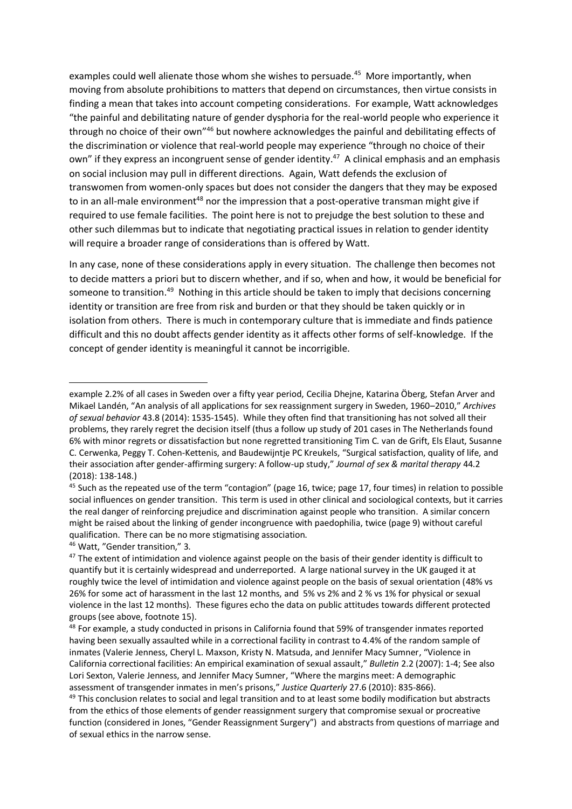examples could well alienate those whom she wishes to persuade.<sup>45</sup> More importantly, when moving from absolute prohibitions to matters that depend on circumstances, then virtue consists in finding a mean that takes into account competing considerations. For example, Watt acknowledges "the painful and debilitating nature of gender dysphoria for the real-world people who experience it through no choice of their own"<sup>46</sup> but nowhere acknowledges the painful and debilitating effects of the discrimination or violence that real-world people may experience "through no choice of their own" if they express an incongruent sense of gender identity.<sup>47</sup> A clinical emphasis and an emphasis on social inclusion may pull in different directions. Again, Watt defends the exclusion of transwomen from women-only spaces but does not consider the dangers that they may be exposed to in an all-male environment<sup>48</sup> nor the impression that a post-operative transman might give if required to use female facilities. The point here is not to prejudge the best solution to these and other such dilemmas but to indicate that negotiating practical issues in relation to gender identity will require a broader range of considerations than is offered by Watt.

In any case, none of these considerations apply in every situation. The challenge then becomes not to decide matters a priori but to discern whether, and if so, when and how, it would be beneficial for someone to transition.<sup>49</sup> Nothing in this article should be taken to imply that decisions concerning identity or transition are free from risk and burden or that they should be taken quickly or in isolation from others. There is much in contemporary culture that is immediate and finds patience difficult and this no doubt affects gender identity as it affects other forms of self-knowledge. If the concept of gender identity is meaningful it cannot be incorrigible.

<sup>46</sup> Watt, "Gender transition," 3.

example 2.2% of all cases in Sweden over a fifty year period, Cecilia Dhejne, Katarina Öberg, Stefan Arver and Mikael Landén, "An analysis of all applications for sex reassignment surgery in Sweden, 1960–2010," *Archives of sexual behavior* 43.8 (2014): 1535-1545). While they often find that transitioning has not solved all their problems, they rarely regret the decision itself (thus a follow up study of 201 cases in The Netherlands found 6% with minor regrets or dissatisfaction but none regretted transitioning Tim C. van de Grift, Els Elaut, Susanne C. Cerwenka, Peggy T. Cohen-Kettenis, and Baudewijntje PC Kreukels, "Surgical satisfaction, quality of life, and their association after gender-affirming surgery: A follow-up study," *Journal of sex & marital therapy* 44.2 (2018): 138-148.)

<sup>&</sup>lt;sup>45</sup> Such as the repeated use of the term "contagion" (page 16, twice; page 17, four times) in relation to possible social influences on gender transition. This term is used in other clinical and sociological contexts, but it carries the real danger of reinforcing prejudice and discrimination against people who transition. A similar concern might be raised about the linking of gender incongruence with paedophilia, twice (page 9) without careful qualification. There can be no more stigmatising association.

 $47$  The extent of intimidation and violence against people on the basis of their gender identity is difficult to quantify but it is certainly widespread and underreported. A large national survey in the UK gauged it at roughly twice the level of intimidation and violence against people on the basis of sexual orientation (48% vs 26% for some act of harassment in the last 12 months, and 5% vs 2% and 2 % vs 1% for physical or sexual violence in the last 12 months). These figures echo the data on public attitudes towards different protected groups (see above, footnote 15).

<sup>48</sup> For example, a study conducted in prisons in California found that 59% of transgender inmates reported having been sexually assaulted while in a correctional facility in contrast to 4.4% of the random sample of inmates (Valerie Jenness, Cheryl L. Maxson, Kristy N. Matsuda, and Jennifer Macy Sumner, "Violence in California correctional facilities: An empirical examination of sexual assault," *Bulletin* 2.2 (2007): 1-4; See also Lori Sexton, Valerie Jenness, and Jennifer Macy Sumner, "Where the margins meet: A demographic assessment of transgender inmates in men's prisons," *Justice Quarterly* 27.6 (2010): 835-866).

<sup>&</sup>lt;sup>49</sup> This conclusion relates to social and legal transition and to at least some bodily modification but abstracts from the ethics of those elements of gender reassignment surgery that compromise sexual or procreative function (considered in Jones, "Gender Reassignment Surgery") and abstracts from questions of marriage and of sexual ethics in the narrow sense.